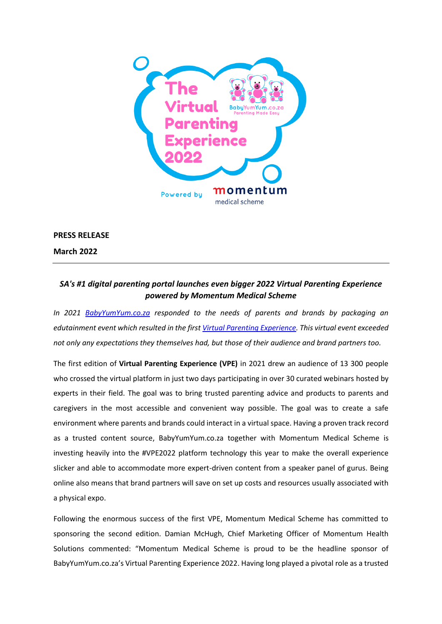

## **PRESS RELEASE**

**March 2022**

# *SA's #1 digital parenting portal launches even bigger 2022 Virtual Parenting Experience powered by Momentum Medical Scheme*

*In 2021 [BabyYumYum.](https://babyyumyum.co.za/)co.za responded to the needs of parents and brands by packaging an edutainment event which resulted in the firs[t Virtual Parenting Experience.](https://babyyumyum.flockplatform.com/ep/?event=The-Virtual-Parenting-Experience-2022-brought-to-you-by-BabyYumYum-co-za) This virtual event exceeded not only any expectations they themselves had, but those of their audience and brand partners too.*

The first edition of **Virtual Parenting Experience (VPE)** in 2021 drew an audience of 13 300 people who crossed the virtual platform in just two days participating in over 30 curated webinars hosted by experts in their field. The goal was to bring trusted parenting advice and products to parents and caregivers in the most accessible and convenient way possible. The goal was to create a safe environment where parents and brands could interact in a virtual space. Having a proven track record as a trusted content source, BabyYumYum.co.za together with Momentum Medical Scheme is investing heavily into the #VPE2022 platform technology this year to make the overall experience slicker and able to accommodate more expert-driven content from a speaker panel of gurus. Being online also means that brand partners will save on set up costs and resources usually associated with a physical expo.

Following the enormous success of the first VPE, Momentum Medical Scheme has committed to sponsoring the second edition. Damian McHugh, Chief Marketing Officer of Momentum Health Solutions commented: "Momentum Medical Scheme is proud to be the headline sponsor of BabyYumYum.co.za's Virtual Parenting Experience 2022. Having long played a pivotal role as a trusted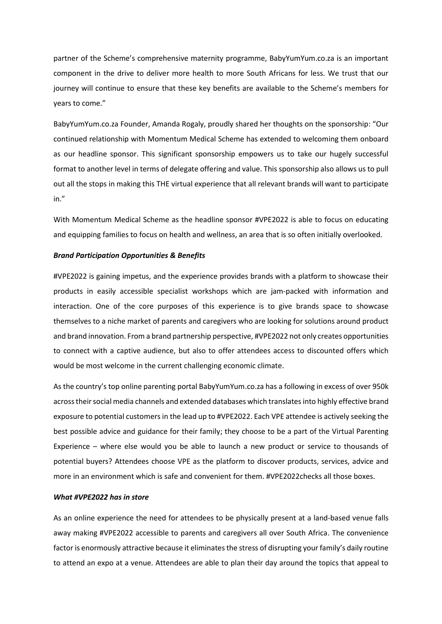partner of the Scheme's comprehensive maternity programme, BabyYumYum.co.za is an important component in the drive to deliver more health to more South Africans for less. We trust that our journey will continue to ensure that these key benefits are available to the Scheme's members for years to come."

BabyYumYum.co.za Founder, Amanda Rogaly, proudly shared her thoughts on the sponsorship: "Our continued relationship with Momentum Medical Scheme has extended to welcoming them onboard as our headline sponsor. This significant sponsorship empowers us to take our hugely successful format to another level in terms of delegate offering and value. This sponsorship also allows us to pull out all the stops in making this THE virtual experience that all relevant brands will want to participate in."

With Momentum Medical Scheme as the headline sponsor #VPE2022 is able to focus on educating and equipping families to focus on health and wellness, an area that is so often initially overlooked.

#### *Brand Participation Opportunities & Benefits*

#VPE2022 is gaining impetus, and the experience provides brands with a platform to showcase their products in easily accessible specialist workshops which are jam-packed with information and interaction. One of the core purposes of this experience is to give brands space to showcase themselves to a niche market of parents and caregivers who are looking for solutions around product and brand innovation. From a brand partnership perspective, #VPE2022 not only creates opportunities to connect with a captive audience, but also to offer attendees access to discounted offers which would be most welcome in the current challenging economic climate.

As the country's top online parenting portal BabyYumYum.co.za has a following in excess of over 950k across their social media channels and extended databases which translates into highly effective brand exposure to potential customersin the lead up to #VPE2022. Each VPE attendee is actively seeking the best possible advice and guidance for their family; they choose to be a part of the Virtual Parenting Experience – where else would you be able to launch a new product or service to thousands of potential buyers? Attendees choose VPE as the platform to discover products, services, advice and more in an environment which is safe and convenient for them. #VPE2022checks all those boxes.

#### *What #VPE2022 has in store*

As an online experience the need for attendees to be physically present at a land-based venue falls away making #VPE2022 accessible to parents and caregivers all over South Africa. The convenience factor is enormously attractive because it eliminates the stress of disrupting your family's daily routine to attend an expo at a venue. Attendees are able to plan their day around the topics that appeal to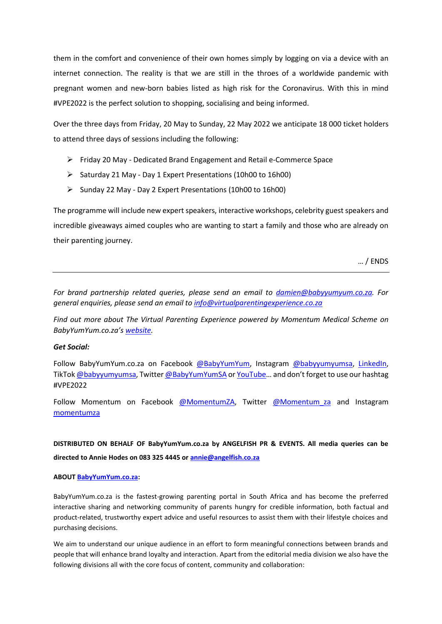them in the comfort and convenience of their own homes simply by logging on via a device with an internet connection. The reality is that we are still in the throes of a worldwide pandemic with pregnant women and new-born babies listed as high risk for the Coronavirus. With this in mind #VPE2022 is the perfect solution to shopping, socialising and being informed.

Over the three days from Friday, 20 May to Sunday, 22 May 2022 we anticipate 18 000 ticket holders to attend three days of sessions including the following:

- ➢ Friday 20 May Dedicated Brand Engagement and Retail e-Commerce Space
- ➢ Saturday 21 May Day 1 Expert Presentations (10h00 to 16h00)
- ➢ Sunday 22 May Day 2 Expert Presentations (10h00 to 16h00)

The programme will include new expert speakers, interactive workshops, celebrity guest speakers and incredible giveaways aimed couples who are wanting to start a family and those who are already on their parenting journey.

… / ENDS

*For brand partnership related queries, please send an email to [damien@babyyumyum.co.za.](mailto:damien@babyyumyum.co.za) For general enquiries, please send an email t[o info@virtualparentingexperience.co.za](mailto:info@virtualparentingexperience.co.za)*

*Find out more about The Virtual Parenting Experience powered by Momentum Medical Scheme on BabyYumYum.co.za's [website.](https://babyyumyum.co.za/)*

## *Get Social:*

Follow BabyYumYum.co.za on Facebook [@BabyYumYum,](https://www.facebook.com/BabyYumYum) Instagram [@babyyumyumsa,](https://www.instagram.com/babyyumyumsa/) [LinkedIn,](https://www.linkedin.com/company/babyyumyum/) TikTo[k @babyyumyumsa,](https://www.tiktok.com/@babyyumyumsa) Twitte[r @BabyYumYumSA](https://twitter.com/BabyYumYumSA) o[r YouTube](https://www.youtube.com/channel/UCyxQQxRuU4R0dvMMX3H45ng)… and don't forget to use our hashtag #VPE2022

Follow Momentum on Facebook [@MomentumZA,](https://www.facebook.com/MomentumZA) Twitter [@Momentum\\_za](https://twitter.com/Momentum_za) and Instagram [momentumza](https://www.instagram.com/momentumza/)

**DISTRIBUTED ON BEHALF OF BabyYumYum.co.za by ANGELFISH PR & EVENTS. All media queries can be directed to Annie Hodes on 083 325 4445 or [annie@angelfish.co.za](mailto:annie@angelfish.co.za)**

### **ABOUT [BabyYumYum.](https://babyyumyum.co.za/)co.za:**

BabyYumYum.co.za is the fastest-growing parenting portal in South Africa and has become the preferred interactive sharing and networking community of parents hungry for credible information, both factual and product-related, trustworthy expert advice and useful resources to assist them with their lifestyle choices and purchasing decisions.

We aim to understand our unique audience in an effort to form meaningful connections between brands and people that will enhance brand loyalty and interaction. Apart from the editorial media division we also have the following divisions all with the core focus of content, community and collaboration: